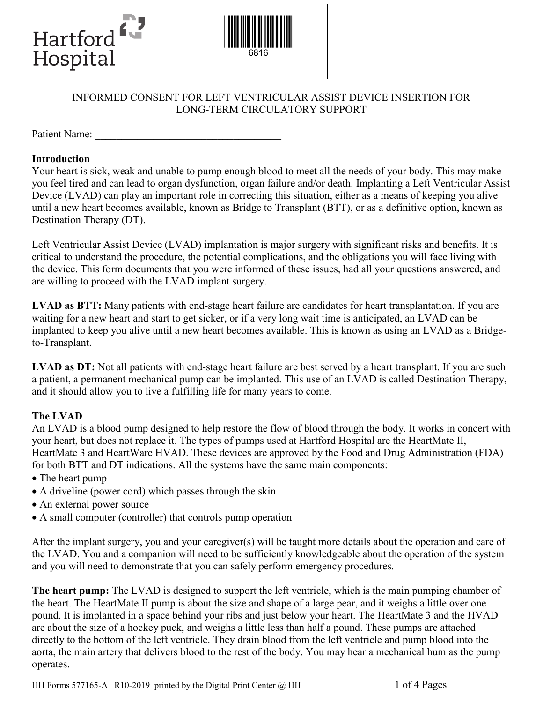



## INFORMED CONSENT FOR LEFT VENTRICULAR ASSIST DEVICE INSERTION FOR LONG-TERM CIRCULATORY SUPPORT

Patient Name:

### **Introduction**

Your heart is sick, weak and unable to pump enough blood to meet all the needs of your body. This may make you feel tired and can lead to organ dysfunction, organ failure and/or death. Implanting a Left Ventricular Assist Device (LVAD) can play an important role in correcting this situation, either as a means of keeping you alive until a new heart becomes available, known as Bridge to Transplant (BTT), or as a definitive option, known as Destination Therapy (DT).

Left Ventricular Assist Device (LVAD) implantation is major surgery with significant risks and benefits. It is critical to understand the procedure, the potential complications, and the obligations you will face living with the device. This form documents that you were informed of these issues, had all your questions answered, and are willing to proceed with the LVAD implant surgery.

**LVAD as BTT:** Many patients with end-stage heart failure are candidates for heart transplantation. If you are waiting for a new heart and start to get sicker, or if a very long wait time is anticipated, an LVAD can be implanted to keep you alive until a new heart becomes available. This is known as using an LVAD as a Bridgeto-Transplant.

LVAD as DT: Not all patients with end-stage heart failure are best served by a heart transplant. If you are such a patient, a permanent mechanical pump can be implanted. This use of an LVAD is called Destination Therapy, and it should allow you to live a fulfilling life for many years to come.

### **The LVAD**

An LVAD is a blood pump designed to help restore the flow of blood through the body. It works in concert with your heart, but does not replace it. The types of pumps used at Hartford Hospital are the HeartMate II, HeartMate 3 and HeartWare HVAD. These devices are approved by the Food and Drug Administration (FDA) for both BTT and DT indications. All the systems have the same main components:

- The heart pump
- A driveline (power cord) which passes through the skin
- An external power source
- A small computer (controller) that controls pump operation

After the implant surgery, you and your caregiver(s) will be taught more details about the operation and care of the LVAD. You and a companion will need to be sufficiently knowledgeable about the operation of the system and you will need to demonstrate that you can safely perform emergency procedures.

**The heart pump:** The LVAD is designed to support the left ventricle, which is the main pumping chamber of the heart. The HeartMate II pump is about the size and shape of a large pear, and it weighs a little over one pound. It is implanted in a space behind your ribs and just below your heart. The HeartMate 3 and the HVAD are about the size of a hockey puck, and weighs a little less than half a pound. These pumps are attached directly to the bottom of the left ventricle. They drain blood from the left ventricle and pump blood into the aorta, the main artery that delivers blood to the rest of the body. You may hear a mechanical hum as the pump operates.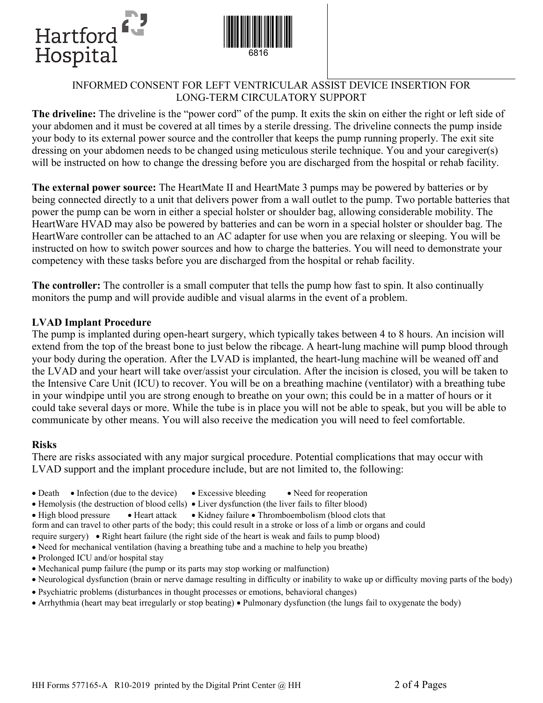



# INFORMED CONSENT FOR LEFT VENTRICULAR ASSIST DEVICE INSERTION FOR LONG-TERM CIRCULATORY SUPPORT

**The driveline:** The driveline is the "power cord" of the pump. It exits the skin on either the right or left side of your abdomen and it must be covered at all times by a sterile dressing. The driveline connects the pump inside your body to its external power source and the controller that keeps the pump running properly. The exit site dressing on your abdomen needs to be changed using meticulous sterile technique. You and your caregiver(s) will be instructed on how to change the dressing before you are discharged from the hospital or rehab facility.

**The external power source:** The HeartMate II and HeartMate 3 pumps may be powered by batteries or by being connected directly to a unit that delivers power from a wall outlet to the pump. Two portable batteries that power the pump can be worn in either a special holster or shoulder bag, allowing considerable mobility. The HeartWare HVAD may also be powered by batteries and can be worn in a special holster or shoulder bag. The HeartWare controller can be attached to an AC adapter for use when you are relaxing or sleeping. You will be instructed on how to switch power sources and how to charge the batteries. You will need to demonstrate your competency with these tasks before you are discharged from the hospital or rehab facility.

**The controller:** The controller is a small computer that tells the pump how fast to spin. It also continually monitors the pump and will provide audible and visual alarms in the event of a problem.

### **LVAD Implant Procedure**

The pump is implanted during open-heart surgery, which typically takes between 4 to 8 hours. An incision will extend from the top of the breast bone to just below the ribcage. A heart-lung machine will pump blood through your body during the operation. After the LVAD is implanted, the heart-lung machine will be weaned off and the LVAD and your heart will take over/assist your circulation. After the incision is closed, you will be taken to the Intensive Care Unit (ICU) to recover. You will be on a breathing machine (ventilator) with a breathing tube in your windpipe until you are strong enough to breathe on your own; this could be in a matter of hours or it could take several days or more. While the tube is in place you will not be able to speak, but you will be able to communicate by other means. You will also receive the medication you will need to feel comfortable.

#### **Risks**

There are risks associated with any major surgical procedure. Potential complications that may occur with LVAD support and the implant procedure include, but are not limited to, the following:

- Death Infection (due to the device) Excessive bleeding Need for reoperation
	-
- Hemolysis (the destruction of blood cells) Liver dysfunction (the liver fails to filter blood)
- High blood pressure Heart attack Kidney failure Thromboembolism (blood clots that
- form and can travel to other parts of the body; this could result in a stroke or loss of a limb or organs and could
- require surgery) Right heart failure (the right side of the heart is weak and fails to pump blood)
- Need for mechanical ventilation (having a breathing tube and a machine to help you breathe)
- Prolonged ICU and/or hospital stay
- Mechanical pump failure (the pump or its parts may stop working or malfunction)
- Neurological dysfunction (brain or nerve damage resulting in difficulty or inability to wake up or difficulty moving parts of the body)
- Psychiatric problems (disturbances in thought processes or emotions, behavioral changes)
- Arrhythmia (heart may beat irregularly or stop beating) Pulmonary dysfunction (the lungs fail to oxygenate the body)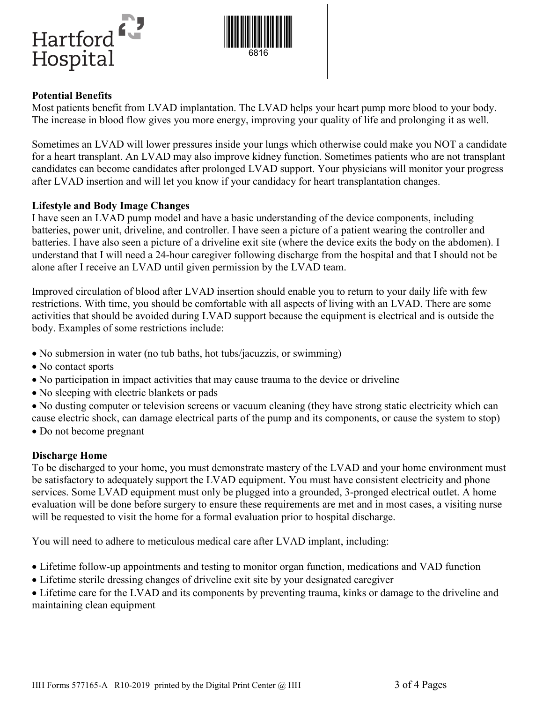



### **Potential Benefits**

Most patients benefit from LVAD implantation. The LVAD helps your heart pump more blood to your body. The increase in blood flow gives you more energy, improving your quality of life and prolonging it as well.

Sometimes an LVAD will lower pressures inside your lungs which otherwise could make you NOT a candidate for a heart transplant. An LVAD may also improve kidney function. Sometimes patients who are not transplant candidates can become candidates after prolonged LVAD support. Your physicians will monitor your progress after LVAD insertion and will let you know if your candidacy for heart transplantation changes.

#### **Lifestyle and Body Image Changes**

I have seen an LVAD pump model and have a basic understanding of the device components, including batteries, power unit, driveline, and controller. I have seen a picture of a patient wearing the controller and batteries. I have also seen a picture of a driveline exit site (where the device exits the body on the abdomen). I understand that I will need a 24-hour caregiver following discharge from the hospital and that I should not be alone after I receive an LVAD until given permission by the LVAD team.

Improved circulation of blood after LVAD insertion should enable you to return to your daily life with few restrictions. With time, you should be comfortable with all aspects of living with an LVAD. There are some activities that should be avoided during LVAD support because the equipment is electrical and is outside the body. Examples of some restrictions include:

- No submersion in water (no tub baths, hot tubs/jacuzzis, or swimming)
- No contact sports
- No participation in impact activities that may cause trauma to the device or driveline
- No sleeping with electric blankets or pads

No dusting computer or television screens or vacuum cleaning (they have strong static electricity which can cause electric shock, can damage electrical parts of the pump and its components, or cause the system to stop)

Do not become pregnant

#### **Discharge Home**

To be discharged to your home, you must demonstrate mastery of the LVAD and your home environment must be satisfactory to adequately support the LVAD equipment. You must have consistent electricity and phone services. Some LVAD equipment must only be plugged into a grounded, 3-pronged electrical outlet. A home evaluation will be done before surgery to ensure these requirements are met and in most cases, a visiting nurse will be requested to visit the home for a formal evaluation prior to hospital discharge.

You will need to adhere to meticulous medical care after LVAD implant, including:

- Lifetime follow-up appointments and testing to monitor organ function, medications and VAD function
- Lifetime sterile dressing changes of driveline exit site by your designated caregiver

• Lifetime care for the LVAD and its components by preventing trauma, kinks or damage to the driveline and maintaining clean equipment